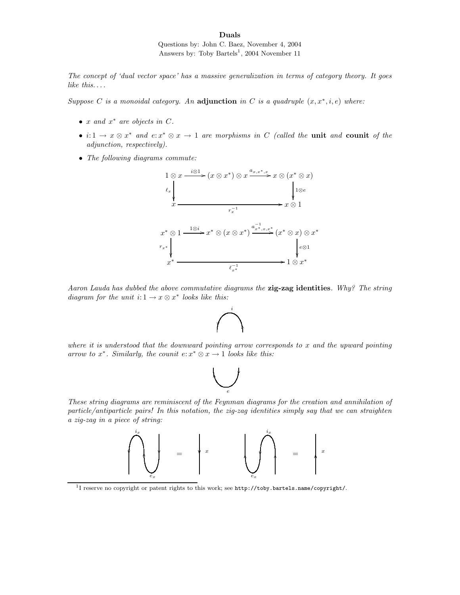Duals

Questions by: John C. Baez, November 4, 2004 Answers by: Toby Bartels<sup>1</sup>, 2004 November 11

The concept of 'dual vector space' has a massive generalization in terms of category theory. It goes like this....

Suppose C is a monoidal category. An adjunction in C is a quadruple  $(x, x^*, i, e)$  where:

- $x$  and  $x^*$  are objects in  $C$ .
- $i: 1 \to x \otimes x^*$  and  $e: x^* \otimes x \to 1$  are morphisms in C (called the unit and counit of the adjunction, respectively).
- The following diagrams commute:



Aaron Lauda has dubbed the above commutative diagrams the zig-zag identities. Why? The string diagram for the unit  $i: 1 \rightarrow x \otimes x^*$  looks like this:



where it is understood that the downward pointing arrow corresponds to x and the upward pointing arrow to  $x^*$ . Similarly, the counit  $e: x^* \otimes x \to 1$  looks like this:



These string diagrams are reminiscent of the Feynman diagrams for the creation and annihilation of particle/antiparticle pairs! In this notation, the zig-zag identities simply say that we can straighten a zig-zag in a piece of string:



<sup>1</sup>I reserve no copyright or patent rights to this work; see http://toby.bartels.name/copyright/.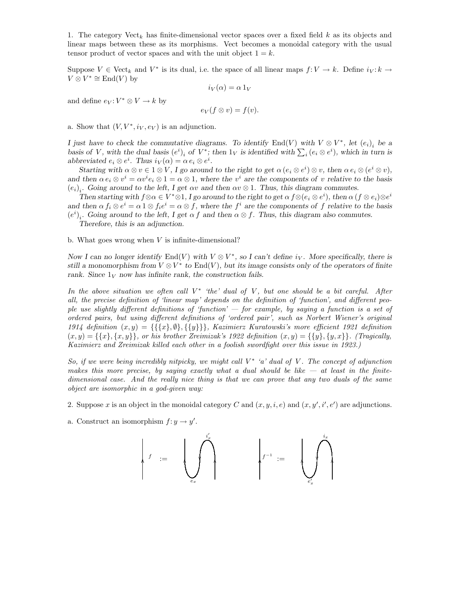1. The category  $Vect_k$  has finite-dimensional vector spaces over a fixed field k as its objects and linear maps between these as its morphisms. Vect becomes a monoidal category with the usual tensor product of vector spaces and with the unit object  $1 = k$ .

Suppose  $V \in \text{Vect}_k$  and  $V^*$  is its dual, i.e. the space of all linear maps  $f: V \to k$ . Define  $i_V: k \to$  $V \otimes V^* \cong \text{End}(V)$  by

$$
i_V(\alpha) = \alpha 1_V
$$

and define  $e_V: V^* \otimes V \to k$  by

$$
e_V(f \otimes v) = f(v).
$$

a. Show that  $(V, V^*, i_V, e_V)$  is an adjunction.

I just have to check the commutative diagrams. To identify End(V) with  $V \otimes V^*$ , let  $(e_i)_i$  be a basis of V, with the dual basis  $(e^i)_i$  of  $V^*$ ; then  $1_V$  is identified with  $\sum_i (e_i \otimes e^i)$ , which in turn is abbreviated  $e_i \otimes e^i$ . Thus  $i_V(\alpha) = \alpha e_i \otimes e^i$ .

Starting with  $\alpha \otimes v \in 1 \otimes V$ , I go around to the right to get  $\alpha (e_i \otimes e^i) \otimes v$ , then  $\alpha e_i \otimes (e^i \otimes v)$ , and then  $\alpha e_i \otimes v^i = \alpha v^i e_i \otimes 1 = \alpha \otimes 1$ , where the  $v^i$  are the components of v relative to the basis  $(e_i)_i$ . Going around to the left, I get  $\alpha v$  and then  $\alpha v \otimes 1$ . Thus, this diagram commutes.

Then starting with  $f \otimes \alpha \in V^* \otimes 1$ , I go around to the right to get  $\alpha f \otimes (e_i \otimes e^i)$ , then  $\alpha (f \otimes e_i) \otimes e^i$ and then  $\alpha f_i \otimes e^i = \alpha \otimes 1 \otimes f_i e^i = \alpha \otimes f$ , where the  $f^i$  are the components of f relative to the basis  $(e^{i})_{i}$ . Going around to the left, I get  $\alpha f$  and then  $\alpha \otimes f$ . Thus, this diagram also commutes.

Therefore, this is an adjunction.

b. What goes wrong when  $V$  is infinite-dimensional?

Now I can no longer identify  $End(V)$  with  $V \otimes V^*$ , so I can't define  $i_V$ . More specifically, there is still a monomorphism from  $V \otimes V^*$  to  $\text{End}(V)$ , but its image consists only of the operators of finite rank. Since  $1_V$  now has infinite rank, the construction fails.

In the above situation we often call  $V^*$  'the' dual of V, but one should be a bit careful. After all, the precise definition of 'linear map' depends on the definition of 'function', and different people use slightly different definitions of 'function' — for example, by saying a function is a set of ordered pairs, but using different definitions of 'ordered pair', such as Norbert Wiener's original 1914 definition  $(x, y) = \{\{\{x\}, \emptyset\}, \{\{y\}\}\}\$ , Kazimierz Kuratowski's more efficient 1921 definition  $(x, y) = \{\{x\}, \{x, y\}\}\$ , or his brother Zreimizak's 1922 definition  $(x, y) = \{\{y\}, \{y, x\}\}\$ . (Tragically, Kazimierz and Zreimizak killed each other in a foolish swordfight over this issue in 1923.)

So, if we were being incredibly nitpicky, we might call  $V^*$  'a' dual of V. The concept of adjunction makes this more precise, by saying exactly what a dual should be like  $-$  at least in the finitedimensional case. And the really nice thing is that we can prove that any two duals of the same object are isomorphic in a god-given way:

- 2. Suppose x is an object in the monoidal category C and  $(x, y, i, e)$  and  $(x, y', i', e')$  are adjunctions.
- a. Construct an isomorphism  $f: y \to y'$ .

$$
\left|\quad f\ \ :=\ \ \left|\ \bigcup_{e_x}^{i'_x}\right|\ \ \ \left|\ \ \left|f^{-1}\ \ :=\ \ \ \left|\ \bigcup_{e'_x}^{i_x}\right|\ \ \right|\ \ \ \left|\ \ \ \left|f^{-1}\ \ \left|f^{-1}\ \ \right|\ \ \ \left|\ \ \left|f^{-1}\ \ \left|f^{-1}\ \ \right|\ \ \ \left|\ \ \left|f^{-1}\ \ \left|f^{-1}\ \ \right|\ \ \ \left|\ f^{-1}\ \ \left|f^{-1}\ \ \right|\ \ \ \left|\ f^{-1}\ \ \left|f^{-1}\ \ \left|f^{-1}\ \ \left|f^{-1}\ \ \left|f^{-1}\ \ \right|\ \ \ \left|\ f^{-1}\ \ \left|f^{-1}\ \ \left|f^{-1}\ \ \left|f^{-1}\ \ \left|f^{-1}\ \ \left|f^{-1}\ \ \left|f^{-1}\ \ \left|f^{-1}\ \ \left|f^{-1}\ \ \left|f^{-1}\ \ \left|f^{-1}\ \ \left|f^{-1}\ \ \left|f^{-1}\ \ \left|f^{-1}\ \ \left|f^{-1}\ \ \left|f^{-1}\ \ \left|f^{-1}\ \ \left|f^{-1}\ \ \left|f^{-1}\ \ \left|f^{-1}\ \ \left|f^{-1}\ \ \left|f^{-1}\ \ \left|f^{-1}\ \ \left|f^{-1}\ \ \left|f^{-1}\ \ \left|f^{-1}\ \ \left|f^{-1}\ \ \left|f^{-1}\ \ \left|f^{-1}\ \ \left|f^{-1}\ \ \left|f^{-1}\ \ \left|f^{-1}\ \ \left|f^{-1}\ \ \left|f^{-1}\ \ \left|f^{-1}\ \ \left|f^{-1}\ \ \left|f^{-1}\ \ \left|f^{-1}\ \ \left|f^{-1}\ \ \left|f^{-1}\ \ \left|f^{-1}\ \ \left|f^{-1}\ \ \left|f^{-1}\ \ \left|f^{-1}\ \ \left|f^{-1}\ \ \left|f^{-1}\ \ \left|f^{-1}\ \ \left|f^{-1}\ \ \left|f^{-1}\ \ \left|f^{-1}\ \ \left|f^{-1}\ \ \left|f^{-1}\ \ \left|f^{-1}\ \ \left|f^{-1}\ \ \left|f^{-1}\ \ \left|f^{-1}\ \ \left|f^{-1}\ \ \left|f^{-1}\ \ \left|f^{-1}\ \ \left|f^{-1}\ \ \left|f^{-1}\ \ \left|f^{-1}\ \ \left|f^{-1}\ \ \left|f^{-1}\ \ \left|f^{-1}\ \ \left|f^{-1}\ \ \left|f^{-1}\ \ \left|f^{-1}\ \ \left|f^{-1
$$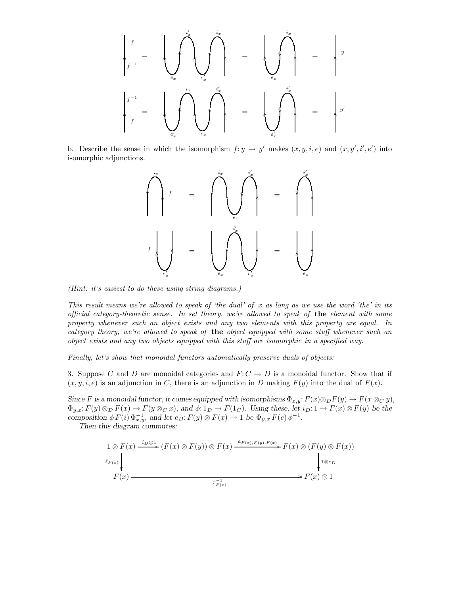

b. Describe the sense in which the isomorphism  $f: y \to y'$  makes  $(x, y, i, e)$  and  $(x, y', i', e')$  into isomorphic adjunctions.



(Hint: it's easiest to do these using string diagrams.)

This result means we're allowed to speak of 'the dual' of x as long as we use the word 'the' in its official category-theoretic sense. In set theory, we're allowed to speak of the element with some property whenever such an object exists and any two elements with this property are equal. In category theory, we're allowed to speak of the object equipped with some stuff whenever such an object exists and any two objects equipped with this stuff are isomorphic in a specified way.

Finally, let's show that monoidal functors automatically preserve duals of objects:

3. Suppose C and D are monoidal categories and  $F: C \to D$  is a monoidal functor. Show that if  $(x, y, i, e)$  is an adjunction in C, there is an adjunction in D making  $F(y)$  into the dual of  $F(x)$ .

Since F is a monoidal functor, it comes equipped with isomorphisms  $\Phi_{x,y}: F(x) \otimes_D F(y) \to F(x \otimes_C y)$ ,  $\Phi_{y,x}: F(y) \otimes_D F(x) \to F(y \otimes_C x)$ , and  $\phi: 1_D \to F(1_C)$ . Using these, let  $i_D: 1 \to F(x) \otimes F(y)$  be the composition  $\phi F(i) \Phi_{x,y}^{-1}$ , and let  $e_D: F(y) \otimes F(x) \to 1$  be  $\Phi_{y,x} F(e) \phi^{-1}$ .

Then this diagram commutes:

$$
\begin{array}{c}\n1 \otimes F(x) \xrightarrow{i_D \otimes 1} (F(x) \otimes F(y)) \otimes F(x) \xrightarrow{a_{F(x), F(y), F(x)}} F(x) \otimes (F(y) \otimes F(x)) \\
\downarrow^{e_{F(x)}} \downarrow^{e_{F(x)}} \\
F(x) \xrightarrow{r_{F(x)}^{-1}} & F(x) \otimes 1\n\end{array}
$$